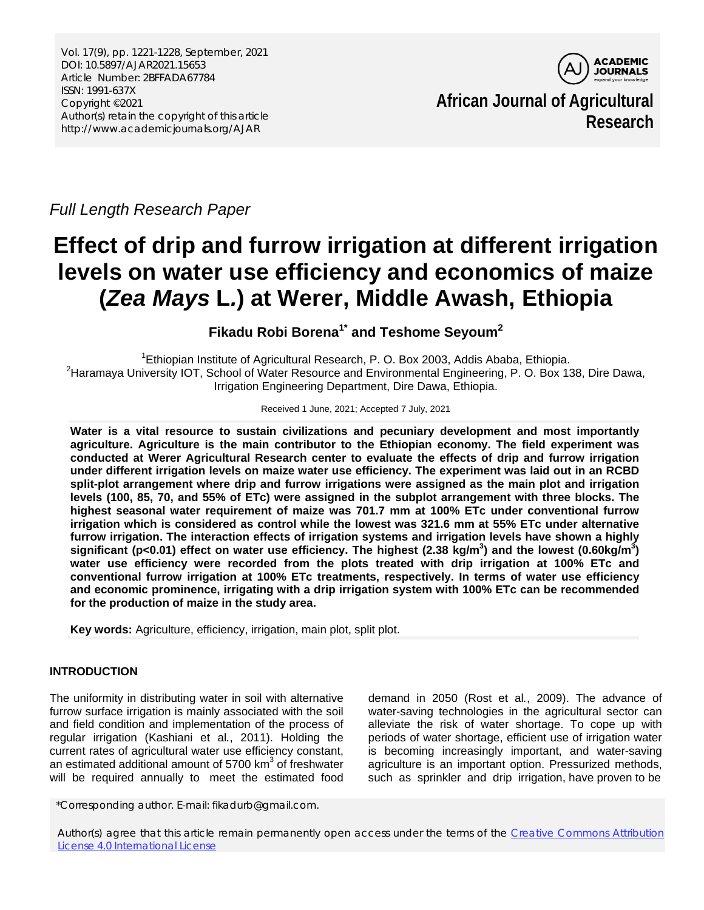

**African Journal of Agricultural Research**

## *Full Length Research Paper*

# **Effect of drip and furrow irrigation at different irrigation levels on water use efficiency and economics of maize (***Zea Mays* **L***.***) at Werer, Middle Awash, Ethiopia**

**Fikadu Robi Borena1\* and Teshome Seyoum<sup>2</sup>**

<sup>1</sup> Ethiopian Institute of Agricultural Research, P. O. Box 2003, Addis Ababa, Ethiopia.<br><sup>2</sup> Haramava University IOT, School of Water Beseuree and Environmental Engineering, B. O. Box 1: <sup>2</sup>Haramaya University IOT, School of Water Resource and Environmental Engineering, P. O. Box 138, Dire Dawa, Irrigation Engineering Department, Dire Dawa, Ethiopia.

Received 1 June, 2021; Accepted 7 July, 2021

**Water is a vital resource to sustain civilizations and pecuniary development and most importantly agriculture. Agriculture is the main contributor to the Ethiopian economy. The field experiment was conducted at Werer Agricultural Research center to evaluate the effects of drip and furrow irrigation under different irrigation levels on maize water use efficiency. The experiment was laid out in an RCBD split-plot arrangement where drip and furrow irrigations were assigned as the main plot and irrigation levels (100, 85, 70, and 55% of ETc) were assigned in the subplot arrangement with three blocks. The highest seasonal water requirement of maize was 701.7 mm at 100% ETc under conventional furrow irrigation which is considered as control while the lowest was 321.6 mm at 55% ETc under alternative furrow irrigation. The interaction effects of irrigation systems and irrigation levels have shown a highly**  significant (p<0.01) effect on water use efficiency. The highest (2.38 kg/m<sup>3</sup>) and the lowest (0.60kg/m<sup>3</sup>) **water use efficiency were recorded from the plots treated with drip irrigation at 100% ETc and conventional furrow irrigation at 100% ETc treatments, respectively. In terms of water use efficiency and economic prominence, irrigating with a drip irrigation system with 100% ETc can be recommended for the production of maize in the study area.** 

**Key words:** Agriculture, efficiency, irrigation, main plot, split plot.

## **INTRODUCTION**

The uniformity in distributing water in soil with alternative furrow surface irrigation is mainly associated with the soil and field condition and implementation of the process of regular irrigation [\(Kashiani](#page-7-0) et al*.*, 2011). Holding the current rates of agricultural water use efficiency constant, an estimated additional amount of  $5700 \mathrm{km}^3$  of freshwater will be required annually to meet the estimated food

demand in 2050 (Rost et al*.*[, 2009\)](#page-7-1). The advance of water-saving technologies in the agricultural sector can alleviate the risk of water shortage. To cope up with periods of water shortage, efficient use of irrigation water is becoming increasingly important, and water-saving agriculture is an important option. Pressurized methods, such as sprinkler and drip irrigation, have proven to be

\*Corresponding author. E-mail: fikadurb@gmail.com.

Author(s) agree that this article remain permanently open access under the terms of the Creative Commons Attribution [License 4.0 International License](http://creativecommons.org/licenses/by/4.0/deed.en_US)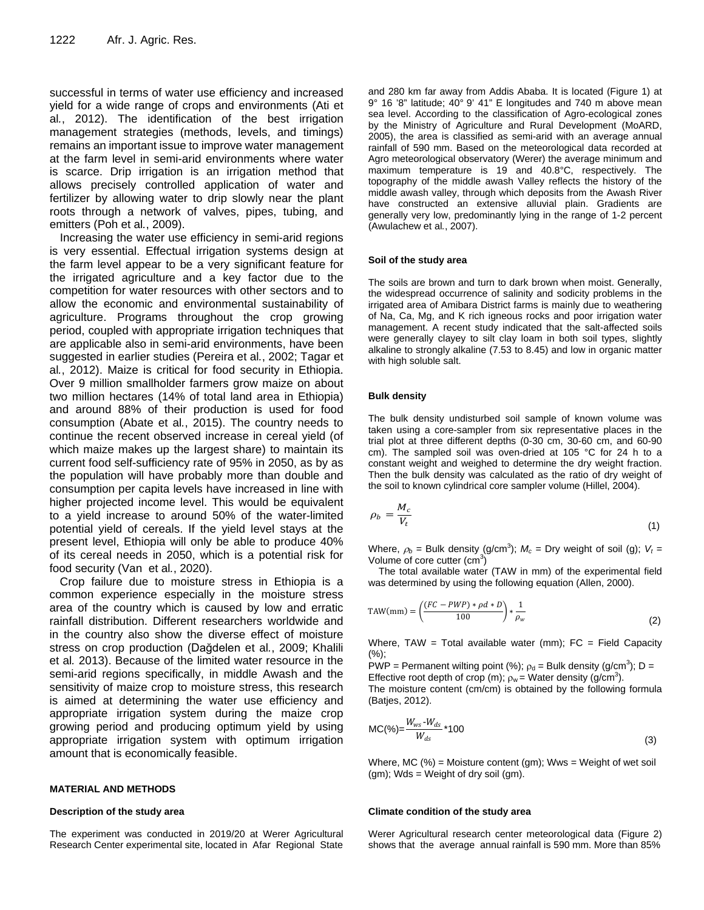successful in terms of water use efficiency and increased yield for a wide range of crops and environments [\(Ati](#page-7-2) et al*.*[, 2012\)](#page-7-2). The identification of the best irrigation management strategies (methods, levels, and timings) remains an important issue to improve water management at the farm level in semi-arid environments where water is scarce. Drip irrigation is an irrigation method that allows precisely controlled application of water and fertilizer by allowing water to drip slowly near the plant roots through a network of valves, pipes, tubing, and emitters (Poh et al*.*[, 2009\)](#page-7-3).

Increasing the water use efficiency in semi-arid regions is very essential. Effectual irrigation systems design at the farm level appear to be a very significant feature for the irrigated agriculture and a key factor due to the competition for water resources with other sectors and to allow the economic and environmental sustainability of agriculture. Programs throughout the crop growing period, coupled with appropriate irrigation techniques that are applicable also in semi-arid environments, have been suggested in earlier studies [\(Pereira](#page-7-4) et al*.*, 2002; [Tagar](#page-7-5) et al*.*[, 2012\)](#page-7-5). Maize is critical for food security in Ethiopia. Over 9 million smallholder farmers grow maize on about two million hectares (14% of total land area in Ethiopia) and around 88% of their production is used for food consumption (Abate et al*.*[, 2015\)](#page-6-0). The country needs to continue the recent observed increase in cereal yield (of which maize makes up the largest share) to maintain its current food self-sufficiency rate of 95% in 2050, as by as the population will have probably more than double and consumption per capita levels have increased in line with higher projected income level. This would be equivalent to a yield increase to around 50% of the water-limited potential yield of cereals. If the yield level stays at the present level, Ethiopia will only be able to produce 40% of its cereal needs in 2050, which is a potential risk for food security [\(Van et al](#page-7-6)*.*, 2020).

Crop failure due to moisture stress in Ethiopia is a common experience especially in the moisture stress area of the country which is caused by low and erratic rainfall distribution. Different researchers worldwide and in the country also show the diverse effect of moisture stress on crop production ([Dağdelen](#page-7-7) et al*.*, 2009; [Khalili](#page-7-8) et al*.* [2013\)](#page-7-8). Because of the limited water resource in the semi-arid regions specifically, in middle Awash and the sensitivity of maize crop to moisture stress, this research is aimed at determining the water use efficiency and appropriate irrigation system during the maize crop growing period and producing optimum yield by using appropriate irrigation system with optimum irrigation amount that is economically feasible.

#### **MATERIAL AND METHODS**

#### **Description of the study area**

The experiment was conducted in 2019/20 at Werer Agricultural Research Center experimental site, located in Afar Regional State

and 280 km far away from Addis Ababa. It is located (Figure 1) at 9° 16 '8" latitude; 40° 9' 41" E longitudes and 740 m above mean sea level. According to the classification of Agro-ecological zones by the Ministry of Agriculture and Rural Development (MoARD, 2005), the area is classified as semi-arid with an average annual rainfall of 590 mm. Based on the meteorological data recorded at Agro meteorological observatory (Werer) the average minimum and maximum temperature is 19 and 40.8°C, respectively. The topography of the middle awash Valley reflects the history of the middle awash valley, through which deposits from the Awash River have constructed an extensive alluvial plain. Gradients are generally very low, predominantly lying in the range of 1-2 percent [\(Awulachew](#page-7-9) et al*.*, 2007).

#### **Soil of the study area**

The soils are brown and turn to dark brown when moist. Generally, the widespread occurrence of salinity and sodicity problems in the irrigated area of Amibara District farms is mainly due to weathering of Na, Ca, Mg, and K rich igneous rocks and poor irrigation water management. A recent study indicated that the salt-affected soils were generally clayey to silt clay loam in both soil types, slightly alkaline to strongly alkaline (7.53 to 8.45) and low in organic matter with high soluble salt.

#### **Bulk density**

The bulk density undisturbed soil sample of known volume was taken using a core-sampler from six representative places in the trial plot at three different depths (0-30 cm, 30-60 cm, and 60-90 cm). The sampled soil was oven-dried at 105 °C for 24 h to a constant weight and weighed to determine the dry weight fraction. Then the bulk density was calculated as the ratio of dry weight of the soil to known cylindrical core sampler volume [\(Hillel, 2004\)](#page-7-10).

$$
\rho_b = \frac{M_c}{V_t} \tag{1}
$$

Where,  $\rho_b$  = Bulk density (g/cm<sup>3</sup>);  $M_c$  = Dry weight of soil (g);  $V_t$  = Volume of core cutter  $(cm<sup>3</sup>)$ 

The total available water (TAW in mm) of the experimental field was determined by using the following equation [\(Allen, 2000\)](#page-6-1).

$$
\text{TAW}(mm) = \left(\frac{(FC - PWP) * \rho d * D}{100}\right) * \frac{1}{\rho_w} \tag{2}
$$

Where, TAW = Total available water (mm);  $FC = Field Capacity$  $(%):$ 

PWP = Permanent wilting point (%);  $\rho_d$  = Bulk density (g/cm<sup>3</sup>); D = Effective root depth of crop (m);  $\rho_w$  = Water density (g/cm<sup>3</sup>).

The moisture content (cm/cm) is obtained by the following formula [\(Batjes, 2012\)](#page-7-11).

$$
MC(\%) = \frac{W_{ws} - W_{ds}}{W_{ds}} \times 100
$$
 (3)

Where, MC  $%$  = Moisture content (gm); Wws = Weight of wet soil (gm); Wds = Weight of dry soil (gm).

#### **Climate condition of the study area**

Werer Agricultural research center meteorological data (Figure 2) shows that the average annual rainfall is 590 mm. More than 85%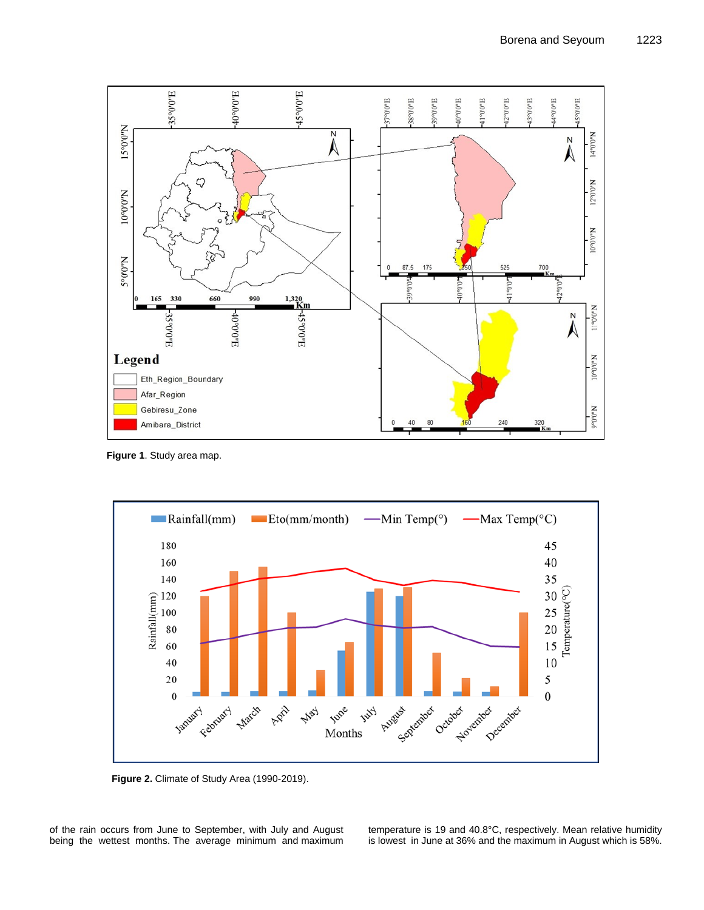

**Figure 1**. Study area map.



**Figure 2.** Climate of Study Area (1990-2019).

of the rain occurs from June to September, with July and August being the wettest months. The average minimum and maximum

temperature is 19 and 40.8°C, respectively. Mean relative humidity is lowest in June at 36% and the maximum in August which is 58%.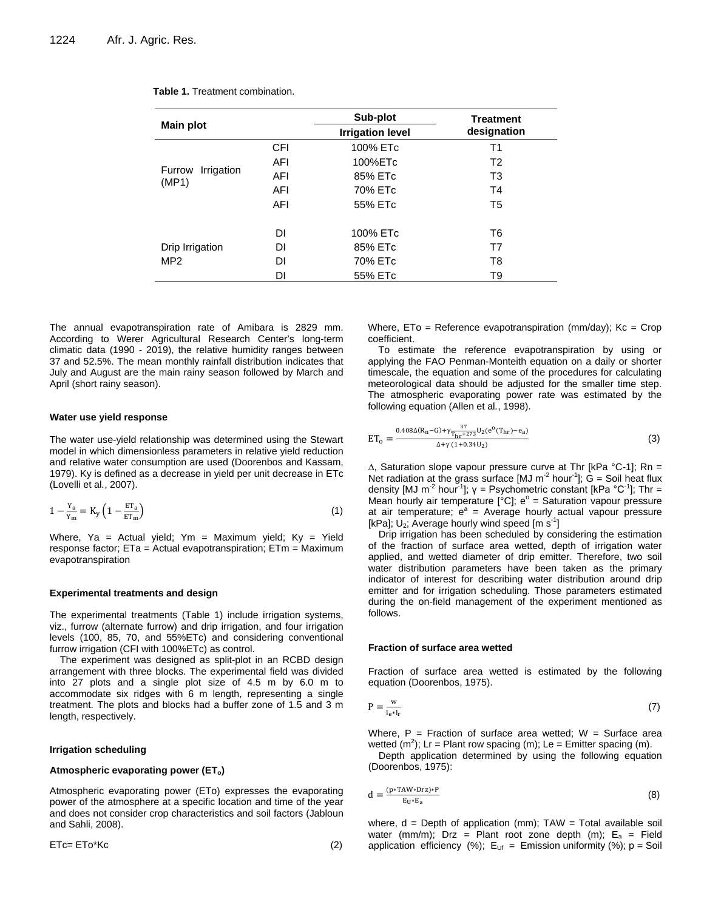| <b>Main plot</b>              |            | Sub-plot                | <b>Treatment</b><br>designation |  |
|-------------------------------|------------|-------------------------|---------------------------------|--|
|                               |            | <b>Irrigation level</b> |                                 |  |
|                               | <b>CFI</b> | 100% ETc                | T1                              |  |
|                               | AFI        | 100%ETc                 | T <sub>2</sub>                  |  |
| Irrigation<br>Furrow<br>(MP1) | AFI        | 85% ETc                 | T <sub>3</sub>                  |  |
|                               | AFI        | 70% ETc                 | T4                              |  |
|                               | AFI        | 55% ETc                 | T5                              |  |
|                               |            |                         |                                 |  |
|                               | DΙ         | 100% ETc                | T6                              |  |
| Drip Irrigation               | DI         | 85% ETc                 | T7                              |  |
| MP <sub>2</sub>               | DI         | 70% ETc                 | T8                              |  |
|                               | DI         | 55% ETc                 | T9                              |  |

**Table 1.** Treatment combination.

The annual evapotranspiration rate of Amibara is 2829 mm. According to Werer Agricultural Research Center's long-term climatic data (1990 - 2019), the relative humidity ranges between 37 and 52.5%. The mean monthly rainfall distribution indicates that July and August are the main rainy season followed by March and April (short rainy season).

#### **Water use yield response**

The water use-yield relationship was determined using the Stewart model in which dimensionless parameters in relative yield reduction and relative water consumption are used [\(Doorenbos and Kassam,](#page-7-12)  [1979\)](#page-7-12). Ky is defined as a decrease in yield per unit decrease in ETc [\(Lovelli](#page-7-13) et al*.*, 2007).

$$
1 - \frac{Y_a}{Y_m} = K_y \left( 1 - \frac{ET_a}{ET_m} \right) \tag{1}
$$

Where, Ya = Actual yield; Ym = Maximum yield;  $Ky = Yield$ response factor; ETa = Actual evapotranspiration; ETm = Maximum evapotranspiration

#### **Experimental treatments and design**

The experimental treatments (Table 1) include irrigation systems, viz., furrow (alternate furrow) and drip irrigation, and four irrigation levels (100, 85, 70, and 55%ETc) and considering conventional furrow irrigation (CFI with 100%ETc) as control.

The experiment was designed as split-plot in an RCBD design arrangement with three blocks. The experimental field was divided into 27 plots and a single plot size of 4.5 m by 6.0 m to accommodate six ridges with 6 m length, representing a single treatment. The plots and blocks had a buffer zone of 1.5 and 3 m length, respectively.

#### **Irrigation scheduling**

#### Atmospheric evaporating power (ET<sub>o</sub>)

Atmospheric evaporating power (ETo) expresses the evaporating power of the atmosphere at a specific location and time of the year and does not consider crop characteristics and soil factors [\(Jabloun](#page-7-14)  [and Sahli, 2008\)](#page-7-14).

ETc= ETo\*Kc (2)

Where,  $ETo = Reference evaporation (mm/day); Kc = Crop$ coefficient.

To estimate the reference evapotranspiration by using or applying the FAO Penman-Monteith equation on a daily or shorter timescale, the equation and some of the procedures for calculating meteorological data should be adjusted for the smaller time step. The atmospheric evaporating power rate was estimated by the following equation (Allen et al*.*[, 1998\)](#page-6-2).

$$
ET_{o} = \frac{0.408\Delta(R_{n}-G) + \gamma \frac{37}{T_{hr}+273}U_{2}(e^{o}(T_{hr})-e_{a})}{\Delta + \gamma (1+0.34U_{2})}
$$
(3)

∆, Saturation slope vapour pressure curve at Thr [kPa °C-1]; Rn = Net radiation at the grass surface [MJ m<sup>-2</sup> hour<sup>-1</sup>];  $\dot{G}$  = Soil heat flux density [MJ m<sup>-2</sup> hour<sup>-1</sup>];  $y =$  Psychometric constant [kPa  $^{\circ}$ C<sup>-1</sup>]; Thr = Mean hourly air temperature  $[°C]$ ;  $e^{\circ}$  = Saturation vapour pressure at air temperature;  $e^a$  = Average hourly actual vapour pressure [kPa];  $U_2$ ; Average hourly wind speed [m s<sup>-1</sup>]

Drip irrigation has been scheduled by considering the estimation of the fraction of surface area wetted, depth of irrigation water applied, and wetted diameter of drip emitter. Therefore, two soil water distribution parameters have been taken as the primary indicator of interest for describing water distribution around drip emitter and for irrigation scheduling. Those parameters estimated during the on-field management of the experiment mentioned as follows.

#### **Fraction of surface area wetted**

Fraction of surface area wetted is estimated by the following equation [\(Doorenbos, 1975\)](#page-7-15).

$$
P = \frac{w}{l_e * l_r} \tag{7}
$$

Where,  $P =$  Fraction of surface area wetted;  $W =$  Surface area wetted (m<sup>2</sup>); Lr = Plant row spacing (m); Le = Emitter spacing (m).

Depth application determined by using the following equation [\(Doorenbos, 1975\)](#page-7-15):

$$
d = \frac{(p * T A W * D r z) * P}{E_U * E_a} \tag{8}
$$

where,  $d =$  Depth of application (mm);  $TAW = Total available soil$ water (mm/m); Drz = Plant root zone depth (m);  $E_a$  = Field application efficiency (%);  $E_{Uf}$  = Emission uniformity (%); p = Soil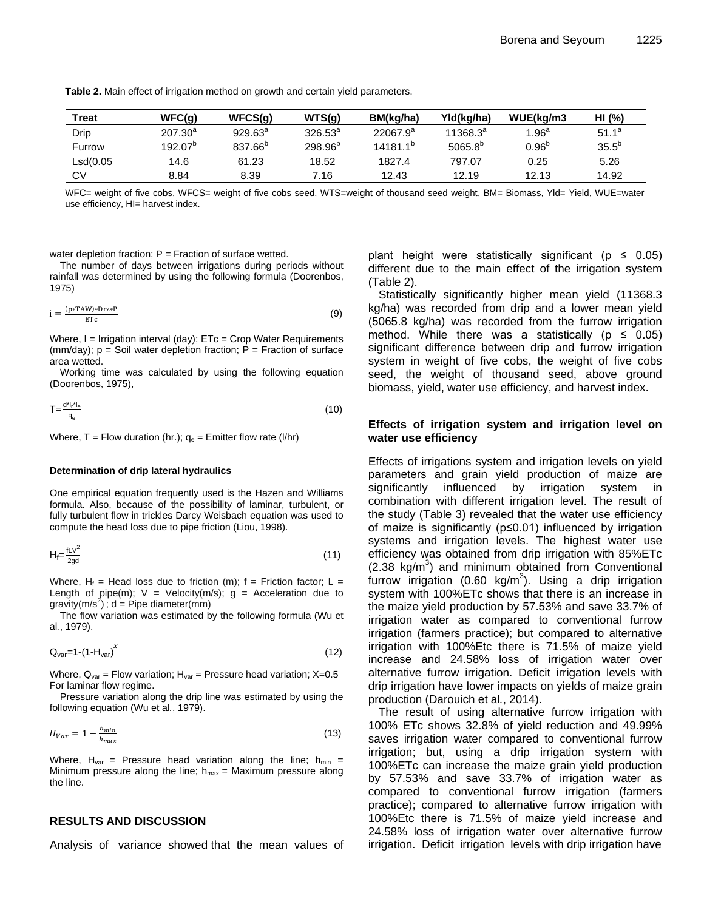**Table 2.** Main effect of irrigation method on growth and certain yield parameters.

| Treat    | WFC(g)       | WFCS(g)             | WTS(g)       | BM(ka/ha)     | Yld(ka/ha)    | WUE(ka/m3       | HI (%)     |
|----------|--------------|---------------------|--------------|---------------|---------------|-----------------|------------|
| Drip     | $207.30^{a}$ | $929.63^{\circ}$    | $326.53^a$   | $22067.9^{a}$ | $11368.3^{a}$ | $1.96^a$        | $51.1^a$   |
| Furrow   | $192.07^{b}$ | 837.66 <sup>b</sup> | $298.96^{p}$ | $14181.1^{b}$ | $5065.8^{b}$  | 0.96 $^{\rm b}$ | $35.5^{b}$ |
| Lsd(0.05 | 14.6         | 61.23               | 18.52        | 1827.4        | 797.07        | 0.25            | 5.26       |
| CV       | 8.84         | 8.39                | 7.16         | 12.43         | 12.19         | 12.13           | 14.92      |

WFC= weight of five cobs, WFCS= weight of five cobs seed, WTS=weight of thousand seed weight, BM= Biomass, Yld= Yield, WUE=water use efficiency, HI= harvest index.

water depletion fraction;  $P =$  Fraction of surface wetted.

The number of days between irrigations during periods without rainfall was determined by using the following formula [\(Doorenbos,](#page-7-15)  [1975\)](#page-7-15)

$$
i = \frac{(p * T A W) * D r z * P}{ETc}
$$
 (9)

Where,  $I = Irri$  ation interval (day);  $ETc = Crop$  Water Requirements (mm/day);  $p =$  Soil water depletion fraction;  $P =$  Fraction of surface area wetted.

Working time was calculated by using the following equation [\(Doorenbos, 1975\)](#page-7-15),

$$
T = \frac{d^* l_i^* l_e}{q_e} \tag{10}
$$

Where,  $T =$  Flow duration (hr.);  $q_e =$  Emitter flow rate (I/hr)

#### **Determination of drip lateral hydraulics**

One empirical equation frequently used is the Hazen and Williams formula. Also, because of the possibility of laminar, turbulent, or fully turbulent flow in trickles Darcy Weisbach equation was used to compute the head loss due to pipe friction [\(Liou, 1998\)](#page-7-16).

$$
H_f = \frac{f L V^2}{2gd} \tag{11}
$$

Where,  $H_f$  = Head loss due to friction (m); f = Friction factor; L = Length of pipe(m);  $V =$  Velocity(m/s);  $g =$  Acceleration due to gravity(m/s<sup>2</sup>); d = Pipe diameter(mm)

The flow variation was estimated by the following formula [\(Wu](#page-7-17) et al*.*[, 1979\)](#page-7-17).

$$
Q_{var} = 1 - (1 - H_{var})^x \tag{12}
$$

Where,  $Q_{var}$  = Flow variation;  $H_{var}$  = Pressure head variation;  $X=0.5$ For laminar flow regime.

Pressure variation along the drip line was estimated by using the following equation (Wu et al*.*[, 1979\)](#page-7-17).

$$
H_{Var} = 1 - \frac{h_{min}}{h_{max}} \tag{13}
$$

Where,  $H_{var}$  = Pressure head variation along the line;  $h_{min}$  = Minimum pressure along the line;  $h_{max}$  = Maximum pressure along the line.

## **RESULTS AND DISCUSSION**

Analysis of variance showed that the mean values of

plant height were statistically significant ( $p \leq 0.05$ ) different due to the main effect of the irrigation system (Table 2).

Statistically significantly higher mean yield (11368.3 kg/ha) was recorded from drip and a lower mean yield (5065.8 kg/ha) was recorded from the furrow irrigation method. While there was a statistically ( $p \le 0.05$ ) significant difference between drip and furrow irrigation system in weight of five cobs, the weight of five cobs seed, the weight of thousand seed, above ground biomass, yield, water use efficiency, and harvest index.

## **Effects of irrigation system and irrigation level on water use efficiency**

Effects of irrigations system and irrigation levels on yield parameters and grain yield production of maize are significantly influenced by irrigation system in combination with different irrigation level. The result of the study (Table 3) revealed that the water use efficiency of maize is significantly (p≤0.01) influenced by irrigation systems and irrigation levels. The highest water use efficiency was obtained from drip irrigation with 85%ETc  $(2.38 \text{ kg/m}^3)$  and minimum obtained from Conventional furrow irrigation (0.60 kg/m<sup>3</sup>). Using a drip irrigation system with 100%ETc shows that there is an increase in the maize yield production by 57.53% and save 33.7% of irrigation water as compared to conventional furrow irrigation (farmers practice); but compared to alternative irrigation with 100%Etc there is 71.5% of maize yield increase and 24.58% loss of irrigation water over alternative furrow irrigation. Deficit irrigation levels with drip irrigation have lower impacts on yields of maize grain production [\(Darouich](#page-7-18) et al*.*, 2014).

The result of using alternative furrow irrigation with 100% ETc shows 32.8% of yield reduction and 49.99% saves irrigation water compared to conventional furrow irrigation; but, using a drip irrigation system with 100%ETc can increase the maize grain yield production by 57.53% and save 33.7% of irrigation water as compared to conventional furrow irrigation (farmers practice); compared to alternative furrow irrigation with 100%Etc there is 71.5% of maize yield increase and 24.58% loss of irrigation water over alternative furrow irrigation. Deficit irrigation levels with drip irrigation have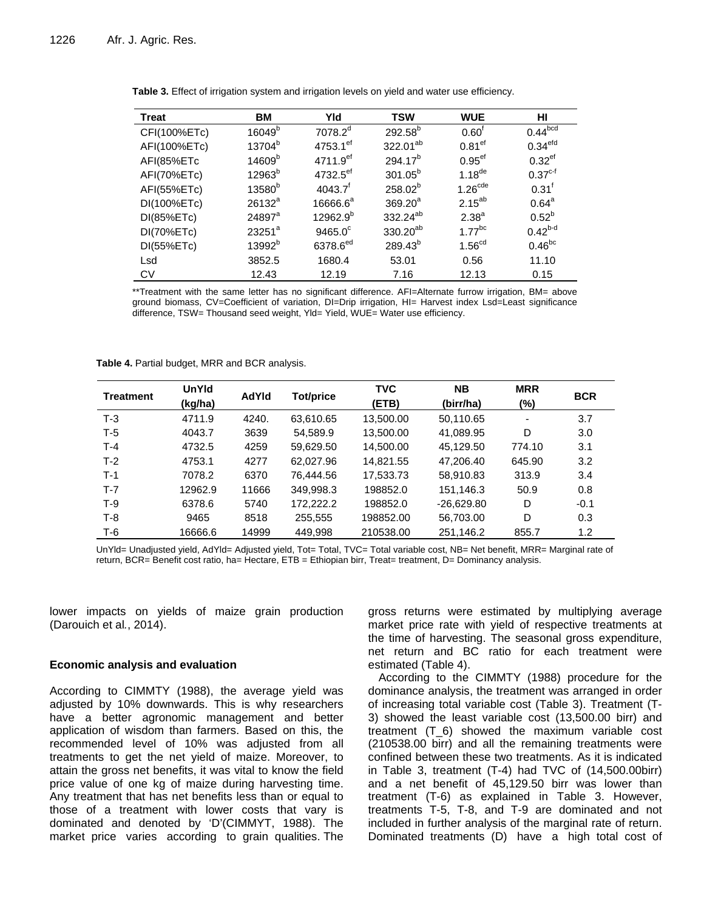| <b>Treat</b> | ВM                 | Yld                    | <b>TSW</b>           | <b>WUE</b>           | нı                   |
|--------------|--------------------|------------------------|----------------------|----------------------|----------------------|
| CFI(100%ETc) | $16049^b$          | $7078.2^d$             | $292.58^{b}$         | 0.60 <sup>f</sup>    | $0.44^{bcd}$         |
| AFI(100%ETc) | 13704 <sup>b</sup> | $4753.1$ <sup>ef</sup> | 322.01 <sup>ab</sup> | 0.81 <sup>ef</sup>   | 0.34 <sup>erd</sup>  |
| AFI(85%ETc   | 14609 <sup>b</sup> | $4711.9$ <sup>ef</sup> | $294.17^{b}$         | 0.95 <sup>ef</sup>   | $0.32$ <sup>ef</sup> |
| AFI(70%ETc)  | $12963^b$          | $4732.5$ <sup>ef</sup> | $301.05^{b}$         | $1.18$ <sup>de</sup> | $0.37^{c-f}$         |
| AFI(55%ETc)  | 13580 <sup>b</sup> | 4043.7 <sup>†</sup>    | $258.02^{b}$         | 1.26 <sup>cde</sup>  | $0.31$ <sup>f</sup>  |
| DI(100%ETc)  | $26132^a$          | 16666.6 <sup>a</sup>   | $369.20^a$           | $2.15^{ab}$          | $0.64^{\text{a}}$    |
| DI(85%ETc)   | $24897^{\circ}$    | $12962.9^{b}$          | 332.24 <sup>ab</sup> | 2.38 <sup>a</sup>    | $0.52^{b}$           |
| DI(70%ETc)   | 23251 <sup>a</sup> | $9465.0^{\circ}$       | 330.20 <sup>ab</sup> | $1.77$ <sup>bc</sup> | $0.42^{b-d}$         |
| DI(55%ETc)   | 13992 <sup>b</sup> | 6378.6 <sup>ed</sup>   | $289.43^{b}$         | 1.56 <sup>cd</sup>   | $0.46^{bc}$          |
| Lsd          | 3852.5             | 1680.4                 | 53.01                | 0.56                 | 11.10                |
| <b>CV</b>    | 12.43              | 12.19                  | 7.16                 | 12.13                | 0.15                 |

**Table 3.** Effect of irrigation system and irrigation levels on yield and water use efficiency.

\*\*Treatment with the same letter has no significant difference. AFI=Alternate furrow irrigation, BM= above ground biomass, CV=Coefficient of variation, DI=Drip irrigation, HI= Harvest index Lsd=Least significance difference, TSW= Thousand seed weight, Yld= Yield, WUE= Water use efficiency.

**Table 4.** Partial budget, MRR and BCR analysis.

| <b>Treatment</b> | <b>UnYId</b><br>(kg/ha) | AdYId | Tot/price | <b>TVC</b><br>(ETB) | <b>NB</b><br>(birr/ha) | <b>MRR</b><br>$(\%)$ | <b>BCR</b> |
|------------------|-------------------------|-------|-----------|---------------------|------------------------|----------------------|------------|
| $T-3$            | 4711.9                  | 4240. | 63,610.65 | 13,500.00           | 50,110.65              | ٠                    | 3.7        |
| $T-5$            | 4043.7                  | 3639  | 54.589.9  | 13,500.00           | 41,089.95              | D                    | 3.0        |
| $T-4$            | 4732.5                  | 4259  | 59,629.50 | 14,500.00           | 45,129.50              | 774.10               | 3.1        |
| $T-2$            | 4753.1                  | 4277  | 62.027.96 | 14.821.55           | 47.206.40              | 645.90               | 3.2        |
| $T-1$            | 7078.2                  | 6370  | 76.444.56 | 17.533.73           | 58,910.83              | 313.9                | 3.4        |
| $T-7$            | 12962.9                 | 11666 | 349.998.3 | 198852.0            | 151,146.3              | 50.9                 | 0.8        |
| $T-9$            | 6378.6                  | 5740  | 172.222.2 | 198852.0            | $-26.629.80$           | D                    | $-0.1$     |
| $T-8$            | 9465                    | 8518  | 255,555   | 198852.00           | 56,703.00              | D                    | 0.3        |
| $T-6$            | 16666.6                 | 14999 | 449.998   | 210538.00           | 251,146.2              | 855.7                | 1.2        |

UnYld= Unadjusted yield, AdYld= Adjusted yield, Tot= Total, TVC= Total variable cost, NB= Net benefit, MRR= Marginal rate of return, BCR= Benefit cost ratio, ha= Hectare, ETB = Ethiopian birr, Treat= treatment, D= Dominancy analysis.

lower impacts on yields of maize grain production [\(Darouich](#page-7-18) et al*.*, 2014).

#### **Economic analysis and evaluation**

According to CIMMTY (1988), the average yield was adjusted by 10% downwards. This is why researchers have a better agronomic management and better application of wisdom than farmers. Based on this, the recommended level of 10% was adjusted from all treatments to get the net yield of maize. Moreover, to attain the gross net benefits, it was vital to know the field price value of one kg of maize during harvesting time. Any treatment that has net benefits less than or equal to those of a treatment with lower costs that vary is dominated and denoted by 'D'[\(CIMMYT,](#page-7-19) 1988). The market price varies according to grain qualities. The gross returns were estimated by multiplying average market price rate with yield of respective treatments at the time of harvesting. The seasonal gross expenditure, net return and BC ratio for each treatment were estimated (Table 4).

According to the CIMMTY (1988) procedure for the dominance analysis, the treatment was arranged in order of increasing total variable cost (Table 3). Treatment (T-3) showed the least variable cost (13,500.00 birr) and treatment (T\_6) showed the maximum variable cost (210538.00 birr) and all the remaining treatments were confined between these two treatments. As it is indicated in Table 3, treatment (T-4) had TVC of (14,500.00birr) and a net benefit of 45,129.50 birr was lower than treatment (T-6) as explained in Table 3. However, treatments T-5, T-8, and T-9 are dominated and not included in further analysis of the marginal rate of return. Dominated treatments (D) have a high total cost of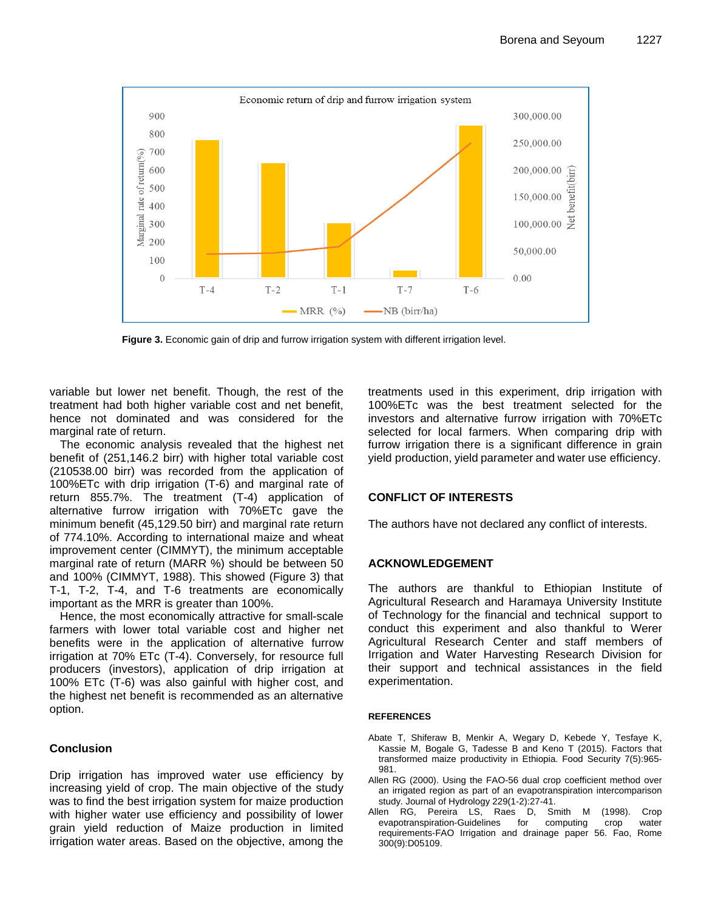

**Figure 3.** Economic gain of drip and furrow irrigation system with different irrigation level.

variable but lower net benefit. Though, the rest of the treatment had both higher variable cost and net benefit, hence not dominated and was considered for the marginal rate of return.

The economic analysis revealed that the highest net benefit of (251,146.2 birr) with higher total variable cost (210538.00 birr) was recorded from the application of 100%ETc with drip irrigation (T-6) and marginal rate of return 855.7%. The treatment (T-4) application of alternative furrow irrigation with 70%ETc gave the minimum benefit (45,129.50 birr) and marginal rate return of 774.10%. According to international maize and wheat improvement center (CIMMYT), the minimum acceptable marginal rate of return (MARR %) should be between 50 and 100% [\(CIMMYT, 1988\)](#page-7-19). This showed (Figure 3) that T-1, T-2, T-4, and T-6 treatments are economically important as the MRR is greater than 100%.

Hence, the most economically attractive for small-scale farmers with lower total variable cost and higher net benefits were in the application of alternative furrow irrigation at 70% ETc (T-4). Conversely, for resource full producers (investors), application of drip irrigation at 100% ETc (T-6) was also gainful with higher cost, and the highest net benefit is recommended as an alternative option.

## **Conclusion**

Drip irrigation has improved water use efficiency by increasing yield of crop. The main objective of the study was to find the best irrigation system for maize production with higher water use efficiency and possibility of lower grain yield reduction of Maize production in limited irrigation water areas. Based on the objective, among the

treatments used in this experiment, drip irrigation with 100%ETc was the best treatment selected for the investors and alternative furrow irrigation with 70%ETc selected for local farmers. When comparing drip with furrow irrigation there is a significant difference in grain yield production, yield parameter and water use efficiency.

## **CONFLICT OF INTERESTS**

The authors have not declared any conflict of interests.

## **ACKNOWLEDGEMENT**

The authors are thankful to Ethiopian Institute of Agricultural Research and Haramaya University Institute of Technology for the financial and technical support to conduct this experiment and also thankful to Werer Agricultural Research Center and staff members of Irrigation and Water Harvesting Research Division for their support and technical assistances in the field experimentation.

#### <span id="page-6-0"></span>**REFERENCES**

- Abate T, Shiferaw B, Menkir A, Wegary D, Kebede Y, Tesfaye K, Kassie M, Bogale G, Tadesse B and Keno T (2015). Factors that transformed maize productivity in Ethiopia. Food Security 7(5):965- 981.
- <span id="page-6-1"></span>Allen RG (2000). Using the FAO-56 dual crop coefficient method over an irrigated region as part of an evapotranspiration intercomparison study. Journal of Hydrology 229(1-2):27-41.
- <span id="page-6-2"></span>Allen RG, Pereira LS, Raes D, Smith M (1998). Crop evapotranspiration-Guidelines for computing crop water requirements-FAO Irrigation and drainage paper 56. Fao, Rome 300(9):D05109.